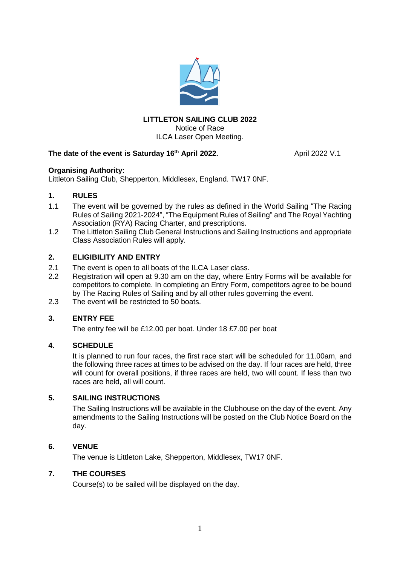

## **LITTLETON SAILING CLUB 2022** Notice of Race ILCA Laser Open Meeting.

# **The date of the event is Saturday 16**

**th April 2022.** April 2022 V.1

## **Organising Authority:**

Littleton Sailing Club, Shepperton, Middlesex, England. TW17 0NF.

## **1. RULES**

- 1.1 The event will be governed by the rules as defined in the World Sailing "The Racing Rules of Sailing 2021-2024", "The Equipment Rules of Sailing" and The Royal Yachting Association (RYA) Racing Charter, and prescriptions.
- 1.2 The Littleton Sailing Club General Instructions and Sailing Instructions and appropriate Class Association Rules will apply.

## **2. ELIGIBILITY AND ENTRY**

- 2.1 The event is open to all boats of the ILCA Laser class.
- 2.2 Registration will open at 9.30 am on the day, where Entry Forms will be available for competitors to complete. In completing an Entry Form, competitors agree to be bound by The Racing Rules of Sailing and by all other rules governing the event.
- 2.3 The event will be restricted to 50 boats.

## **3. ENTRY FEE**

The entry fee will be £12.00 per boat. Under 18 £7.00 per boat

## **4. SCHEDULE**

It is planned to run four races, the first race start will be scheduled for 11.00am, and the following three races at times to be advised on the day. If four races are held, three will count for overall positions, if three races are held, two will count. If less than two races are held, all will count.

## **5. SAILING INSTRUCTIONS**

The Sailing Instructions will be available in the Clubhouse on the day of the event. Any amendments to the Sailing Instructions will be posted on the Club Notice Board on the day.

## **6. VENUE**

The venue is Littleton Lake, Shepperton, Middlesex, TW17 0NF.

## **7. THE COURSES**

Course(s) to be sailed will be displayed on the day.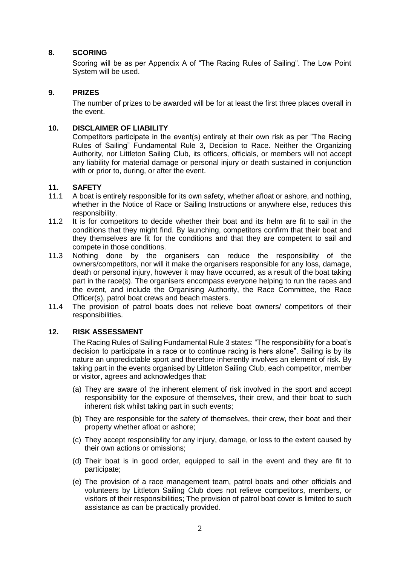## **8. SCORING**

Scoring will be as per Appendix A of "The Racing Rules of Sailing". The Low Point System will be used.

## **9. PRIZES**

The number of prizes to be awarded will be for at least the first three places overall in the event.

## **10. DISCLAIMER OF LIABILITY**

Competitors participate in the event(s) entirely at their own risk as per "The Racing Rules of Sailing" Fundamental Rule 3, Decision to Race. Neither the Organizing Authority, nor Littleton Sailing Club, its officers, officials, or members will not accept any liability for material damage or personal injury or death sustained in conjunction with or prior to, during, or after the event.

## **11. SAFETY**

- 11.1 A boat is entirely responsible for its own safety, whether afloat or ashore, and nothing, whether in the Notice of Race or Sailing Instructions or anywhere else, reduces this responsibility.
- 11.2 It is for competitors to decide whether their boat and its helm are fit to sail in the conditions that they might find. By launching, competitors confirm that their boat and they themselves are fit for the conditions and that they are competent to sail and compete in those conditions.
- 11.3 Nothing done by the organisers can reduce the responsibility of the owners/competitors, nor will it make the organisers responsible for any loss, damage, death or personal injury, however it may have occurred, as a result of the boat taking part in the race(s). The organisers encompass everyone helping to run the races and the event, and include the Organising Authority, the Race Committee, the Race Officer(s), patrol boat crews and beach masters.
- 11.4 The provision of patrol boats does not relieve boat owners/ competitors of their responsibilities.

## **12. RISK ASSESSMENT**

The Racing Rules of Sailing Fundamental Rule 3 states: "The responsibility for a boat's decision to participate in a race or to continue racing is hers alone". Sailing is by its nature an unpredictable sport and therefore inherently involves an element of risk. By taking part in the events organised by Littleton Sailing Club, each competitor, member or visitor, agrees and acknowledges that:

- (a) They are aware of the inherent element of risk involved in the sport and accept responsibility for the exposure of themselves, their crew, and their boat to such inherent risk whilst taking part in such events;
- (b) They are responsible for the safety of themselves, their crew, their boat and their property whether afloat or ashore;
- (c) They accept responsibility for any injury, damage, or loss to the extent caused by their own actions or omissions;
- (d) Their boat is in good order, equipped to sail in the event and they are fit to participate;
- (e) The provision of a race management team, patrol boats and other officials and volunteers by Littleton Sailing Club does not relieve competitors, members, or visitors of their responsibilities; The provision of patrol boat cover is limited to such assistance as can be practically provided.